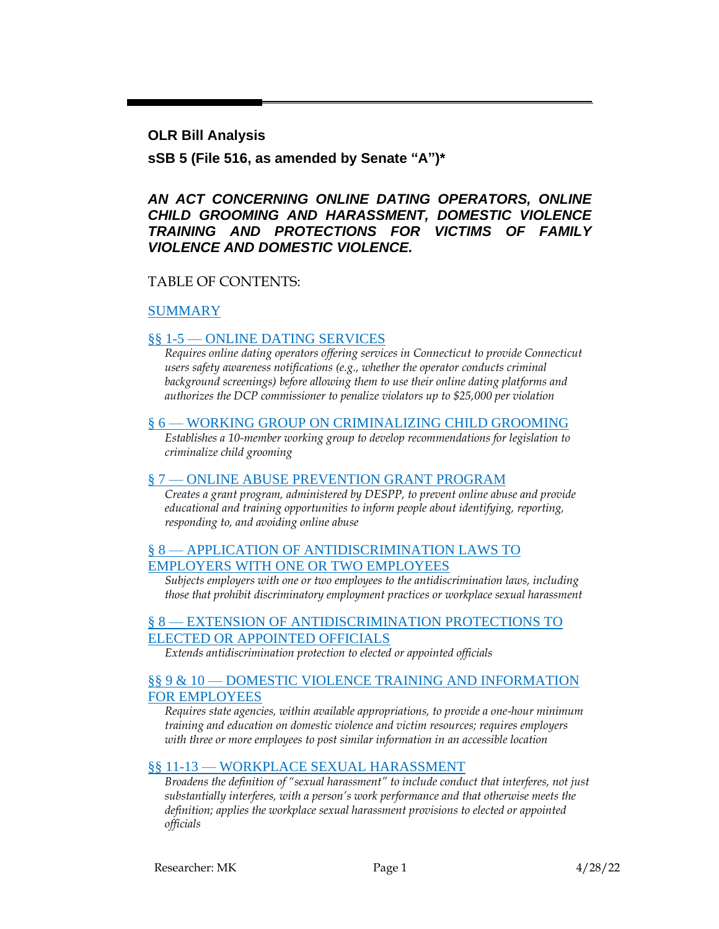**OLR Bill Analysis**

**sSB 5 (File 516, as amended by Senate "A")\***

#### *AN ACT CONCERNING ONLINE DATING OPERATORS, ONLINE CHILD GROOMING AND HARASSMENT, DOMESTIC VIOLENCE TRAINING AND PROTECTIONS FOR VICTIMS OF FAMILY VIOLENCE AND DOMESTIC VIOLENCE.*

#### TABLE OF CONTENTS:

#### [SUMMARY](#page-1-0)

#### §§ 1-5 — [ONLINE DATING SERVICES](#page-2-0)

*Requires online dating operators offering services in Connecticut to provide Connecticut users safety awareness notifications (e.g., whether the operator conducts criminal background screenings) before allowing them to use their online dating platforms and authorizes the DCP commissioner to penalize violators up to \$25,000 per violation*

#### § 6 — [WORKING GROUP ON CRIMINALIZING CHILD GROOMING](#page-6-0)

*Establishes a 10-member working group to develop recommendations for legislation to criminalize child grooming*

#### § 7 — [ONLINE ABUSE PREVENTION GRANT PROGRAM](#page-7-0)

*Creates a grant program, administered by DESPP, to prevent online abuse and provide educational and training opportunities to inform people about identifying, reporting, responding to, and avoiding online abuse*

#### § 8 — [APPLICATION OF ANTIDISCRIMINATION LAWS TO](#page-9-0)  [EMPLOYERS WITH ONE OR TWO EMPLOYEES](#page-9-0)

*Subjects employers with one or two employees to the antidiscrimination laws, including those that prohibit discriminatory employment practices or workplace sexual harassment*

#### § 8 — [EXTENSION OF ANTIDISCRIMINATION PROTECTIONS TO](#page-10-0)  [ELECTED OR APPOINTED OFFICIALS](#page-10-0)

*Extends antidiscrimination protection to elected or appointed officials*

#### §§ 9 & 10 — DOMESTIC VIOLENCE TRAINING AND INFORMATION [FOR EMPLOYEES](#page-10-1)

*Requires state agencies, within available appropriations, to provide a one-hour minimum training and education on domestic violence and victim resources; requires employers with three or more employees to post similar information in an accessible location*

#### §§ 11-13 — [WORKPLACE SEXUAL HARASSMENT](#page-11-0)

*Broadens the definition of "sexual harassment" to include conduct that interferes, not just substantially interferes, with a person's work performance and that otherwise meets the definition; applies the workplace sexual harassment provisions to elected or appointed officials*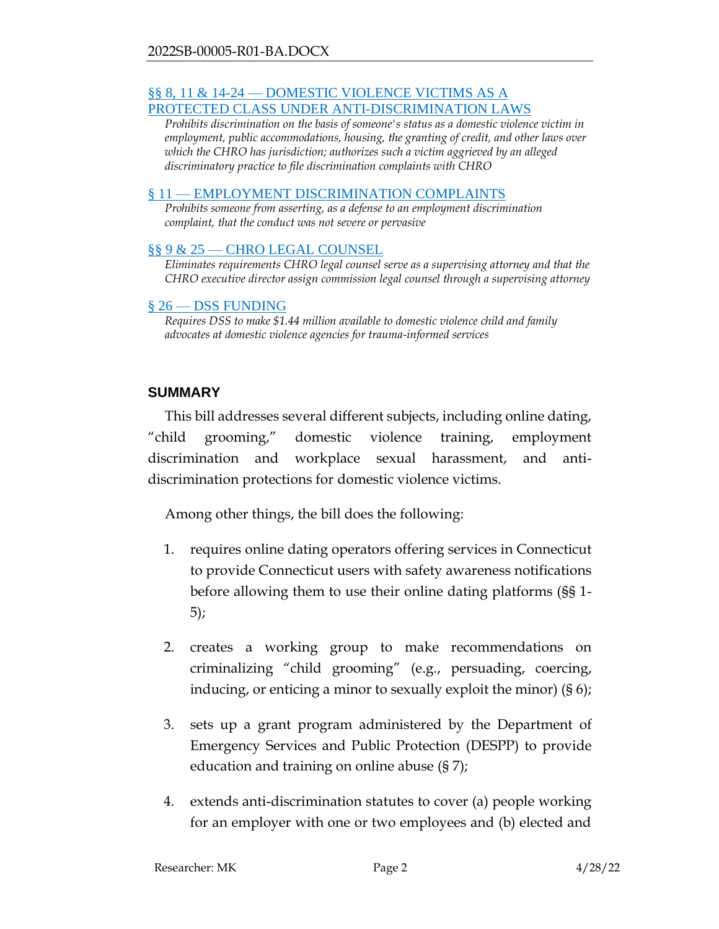#### §§ 8, 11 & 14-24 — [DOMESTIC VIOLENCE VICTIMS AS A](#page-12-0)  [PROTECTED CLASS UNDER ANTI-DISCRIMINATION LAWS](#page-12-0)

*Prohibits discrimination on the basis of someone's status as a domestic violence victim in employment, public accommodations, housing, the granting of credit, and other laws over which the CHRO has jurisdiction; authorizes such a victim aggrieved by an alleged discriminatory practice to file discrimination complaints with CHRO*

#### § 11 — [EMPLOYMENT DISCRIMINATION COMPLAINTS](#page-18-0)

*Prohibits someone from asserting, as a defense to an employment discrimination complaint, that the conduct was not severe or pervasive*

#### §§ 9 & 25 — [CHRO LEGAL COUNSEL](#page-18-1)

*Eliminates requirements CHRO legal counsel serve as a supervising attorney and that the CHRO executive director assign commission legal counsel through a supervising attorney*

#### § 26 — [DSS FUNDING](#page-19-0)

*Requires DSS to make \$1.44 million available to domestic violence child and family advocates at domestic violence agencies for trauma-informed services*

#### <span id="page-1-0"></span>**SUMMARY**

This bill addresses several different subjects, including online dating, "child grooming," domestic violence training, employment discrimination and workplace sexual harassment, and antidiscrimination protections for domestic violence victims.

Among other things, the bill does the following:

- 1. requires online dating operators offering services in Connecticut to provide Connecticut users with safety awareness notifications before allowing them to use their online dating platforms (§§ 1- 5);
- 2. creates a working group to make recommendations on criminalizing "child grooming" (e.g., persuading, coercing, inducing, or enticing a minor to sexually exploit the minor) (§ 6);
- 3. sets up a grant program administered by the Department of Emergency Services and Public Protection (DESPP) to provide education and training on online abuse (§ 7);
- 4. extends anti-discrimination statutes to cover (a) people working for an employer with one or two employees and (b) elected and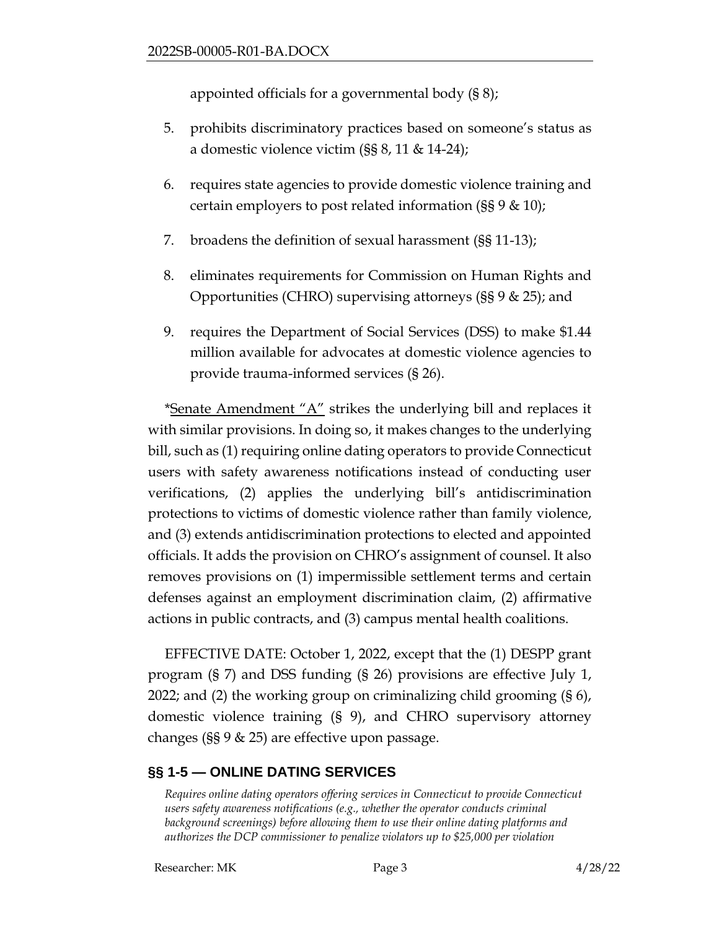appointed officials for a governmental body (§ 8);

- 5. prohibits discriminatory practices based on someone's status as a domestic violence victim (§§ 8, 11 & 14-24);
- 6. requires state agencies to provide domestic violence training and certain employers to post related information (§§ 9 & 10);
- 7. broadens the definition of sexual harassment (§§ 11-13);
- 8. eliminates requirements for Commission on Human Rights and Opportunities (CHRO) supervising attorneys (§§ 9 & 25); and
- 9. requires the Department of Social Services (DSS) to make \$1.44 million available for advocates at domestic violence agencies to provide trauma-informed services (§ 26).

\*Senate Amendment "A" strikes the underlying bill and replaces it with similar provisions. In doing so, it makes changes to the underlying bill, such as (1) requiring online dating operators to provide Connecticut users with safety awareness notifications instead of conducting user verifications, (2) applies the underlying bill's antidiscrimination protections to victims of domestic violence rather than family violence, and (3) extends antidiscrimination protections to elected and appointed officials. It adds the provision on CHRO's assignment of counsel. It also removes provisions on (1) impermissible settlement terms and certain defenses against an employment discrimination claim, (2) affirmative actions in public contracts, and (3) campus mental health coalitions.

EFFECTIVE DATE: October 1, 2022, except that the (1) DESPP grant program (§ 7) and DSS funding (§ 26) provisions are effective July 1, 2022; and (2) the working group on criminalizing child grooming (§ 6), domestic violence training (§ 9), and CHRO supervisory attorney changes (§§ 9 & 25) are effective upon passage.

## <span id="page-2-0"></span>**§§ 1-5 — ONLINE DATING SERVICES**

*Requires online dating operators offering services in Connecticut to provide Connecticut users safety awareness notifications (e.g., whether the operator conducts criminal background screenings) before allowing them to use their online dating platforms and authorizes the DCP commissioner to penalize violators up to \$25,000 per violation*

Researcher: MK Page 3 4/28/22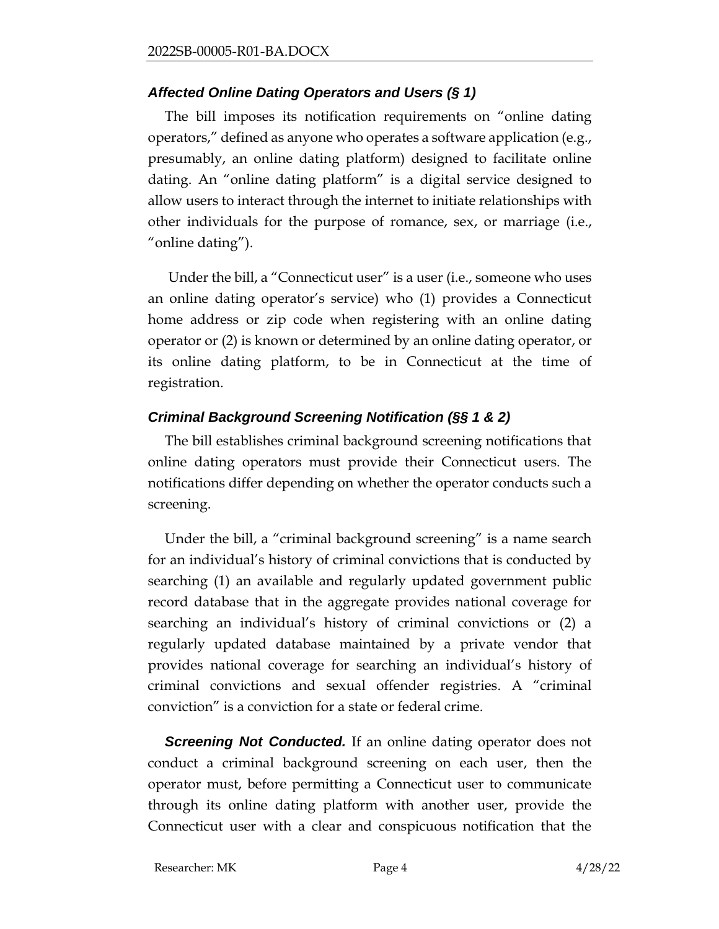#### *Affected Online Dating Operators and Users (§ 1)*

The bill imposes its notification requirements on "online dating operators," defined as anyone who operates a software application (e.g., presumably, an online dating platform) designed to facilitate online dating. An "online dating platform" is a digital service designed to allow users to interact through the internet to initiate relationships with other individuals for the purpose of romance, sex, or marriage (i.e., "online dating").

Under the bill, a "Connecticut user" is a user (i.e., someone who uses an online dating operator's service) who (1) provides a Connecticut home address or zip code when registering with an online dating operator or (2) is known or determined by an online dating operator, or its online dating platform, to be in Connecticut at the time of registration.

#### *Criminal Background Screening Notification (§§ 1 & 2)*

The bill establishes criminal background screening notifications that online dating operators must provide their Connecticut users. The notifications differ depending on whether the operator conducts such a screening.

Under the bill, a "criminal background screening" is a name search for an individual's history of criminal convictions that is conducted by searching (1) an available and regularly updated government public record database that in the aggregate provides national coverage for searching an individual's history of criminal convictions or (2) a regularly updated database maintained by a private vendor that provides national coverage for searching an individual's history of criminal convictions and sexual offender registries. A "criminal conviction" is a conviction for a state or federal crime.

*Screening Not Conducted.* If an online dating operator does not conduct a criminal background screening on each user, then the operator must, before permitting a Connecticut user to communicate through its online dating platform with another user, provide the Connecticut user with a clear and conspicuous notification that the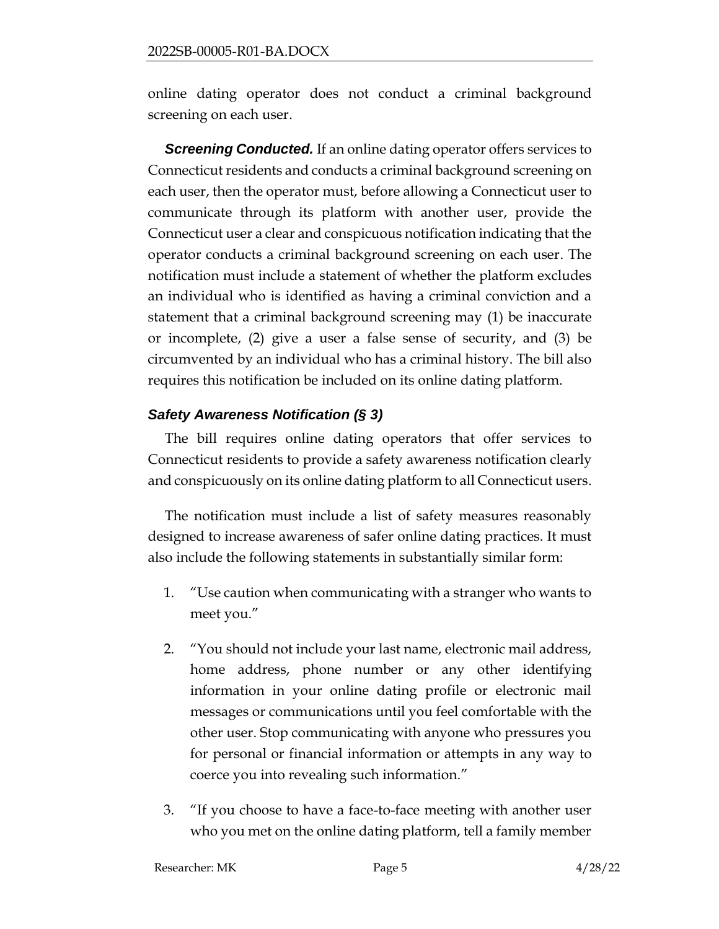online dating operator does not conduct a criminal background screening on each user.

**Screening Conducted.** If an online dating operator offers services to Connecticut residents and conducts a criminal background screening on each user, then the operator must, before allowing a Connecticut user to communicate through its platform with another user, provide the Connecticut user a clear and conspicuous notification indicating that the operator conducts a criminal background screening on each user. The notification must include a statement of whether the platform excludes an individual who is identified as having a criminal conviction and a statement that a criminal background screening may (1) be inaccurate or incomplete, (2) give a user a false sense of security, and (3) be circumvented by an individual who has a criminal history. The bill also requires this notification be included on its online dating platform.

## *Safety Awareness Notification (§ 3)*

The bill requires online dating operators that offer services to Connecticut residents to provide a safety awareness notification clearly and conspicuously on its online dating platform to all Connecticut users.

The notification must include a list of safety measures reasonably designed to increase awareness of safer online dating practices. It must also include the following statements in substantially similar form:

- 1. "Use caution when communicating with a stranger who wants to meet you."
- 2. "You should not include your last name, electronic mail address, home address, phone number or any other identifying information in your online dating profile or electronic mail messages or communications until you feel comfortable with the other user. Stop communicating with anyone who pressures you for personal or financial information or attempts in any way to coerce you into revealing such information."
- 3. "If you choose to have a face-to-face meeting with another user who you met on the online dating platform, tell a family member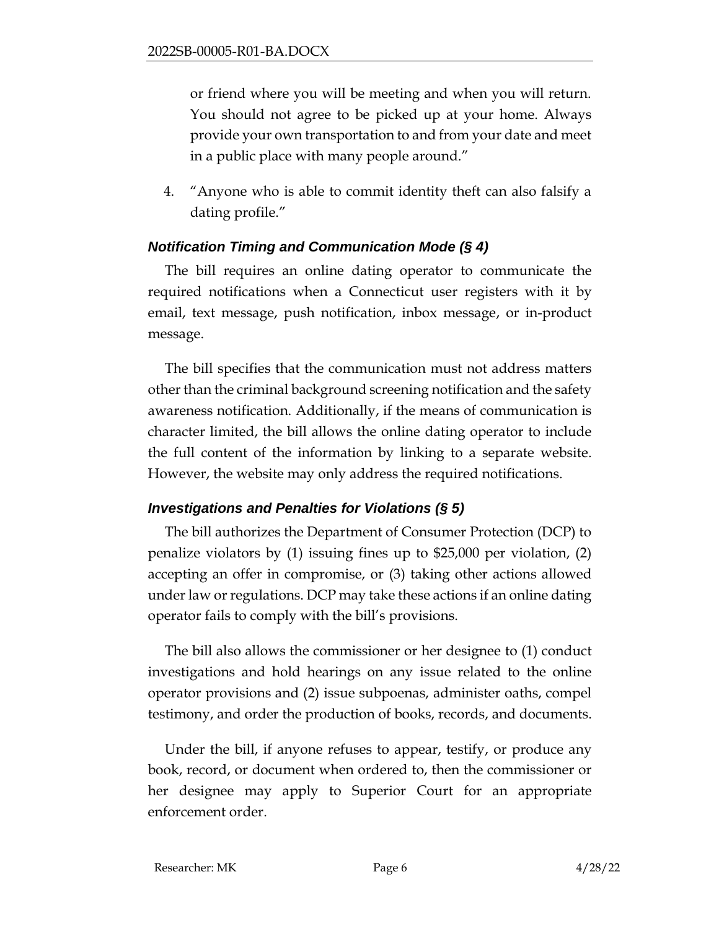or friend where you will be meeting and when you will return. You should not agree to be picked up at your home. Always provide your own transportation to and from your date and meet in a public place with many people around."

4. "Anyone who is able to commit identity theft can also falsify a dating profile."

## *Notification Timing and Communication Mode (§ 4)*

The bill requires an online dating operator to communicate the required notifications when a Connecticut user registers with it by email, text message, push notification, inbox message, or in-product message.

The bill specifies that the communication must not address matters other than the criminal background screening notification and the safety awareness notification. Additionally, if the means of communication is character limited, the bill allows the online dating operator to include the full content of the information by linking to a separate website. However, the website may only address the required notifications.

## *Investigations and Penalties for Violations (§ 5)*

The bill authorizes the Department of Consumer Protection (DCP) to penalize violators by (1) issuing fines up to \$25,000 per violation, (2) accepting an offer in compromise, or (3) taking other actions allowed under law or regulations. DCP may take these actions if an online dating operator fails to comply with the bill's provisions.

The bill also allows the commissioner or her designee to (1) conduct investigations and hold hearings on any issue related to the online operator provisions and (2) issue subpoenas, administer oaths, compel testimony, and order the production of books, records, and documents.

Under the bill, if anyone refuses to appear, testify, or produce any book, record, or document when ordered to, then the commissioner or her designee may apply to Superior Court for an appropriate enforcement order.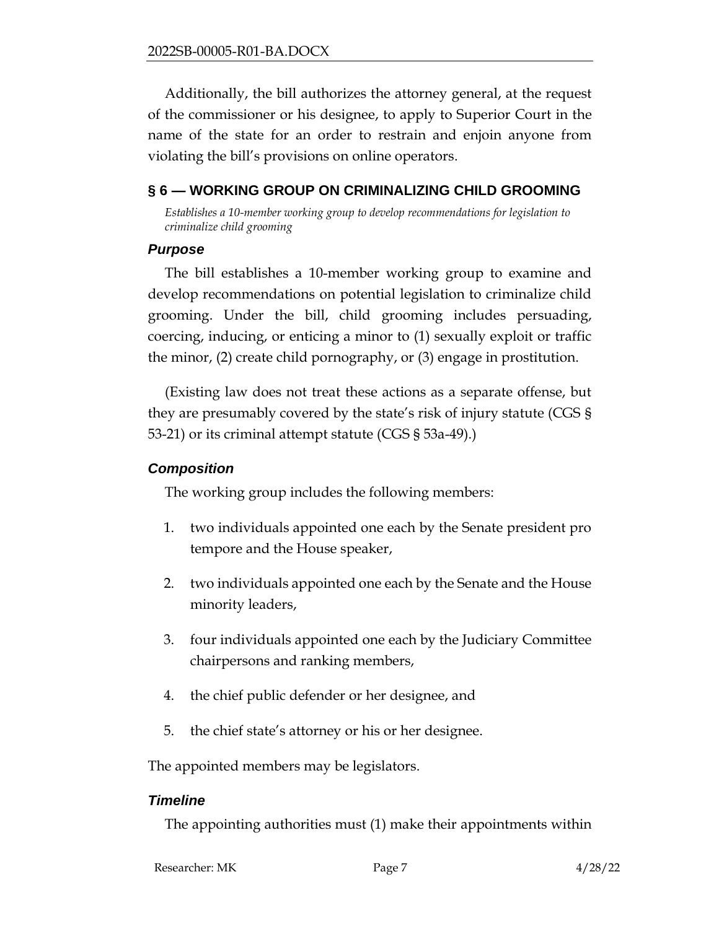Additionally, the bill authorizes the attorney general, at the request of the commissioner or his designee, to apply to Superior Court in the name of the state for an order to restrain and enjoin anyone from violating the bill's provisions on online operators.

## <span id="page-6-0"></span>**§ 6 — WORKING GROUP ON CRIMINALIZING CHILD GROOMING**

*Establishes a 10-member working group to develop recommendations for legislation to criminalize child grooming*

#### *Purpose*

The bill establishes a 10-member working group to examine and develop recommendations on potential legislation to criminalize child grooming. Under the bill, child grooming includes persuading, coercing, inducing, or enticing a minor to (1) sexually exploit or traffic the minor, (2) create child pornography, or (3) engage in prostitution.

(Existing law does not treat these actions as a separate offense, but they are presumably covered by the state's risk of injury statute (CGS § 53-21) or its criminal attempt statute (CGS § 53a-49).)

#### *Composition*

The working group includes the following members:

- 1. two individuals appointed one each by the Senate president pro tempore and the House speaker,
- 2. two individuals appointed one each by the Senate and the House minority leaders,
- 3. four individuals appointed one each by the Judiciary Committee chairpersons and ranking members,
- 4. the chief public defender or her designee, and
- 5. the chief state's attorney or his or her designee.

The appointed members may be legislators.

## *Timeline*

The appointing authorities must (1) make their appointments within

| Researcher: MK | Page. | 4/28/22 |
|----------------|-------|---------|
|                |       |         |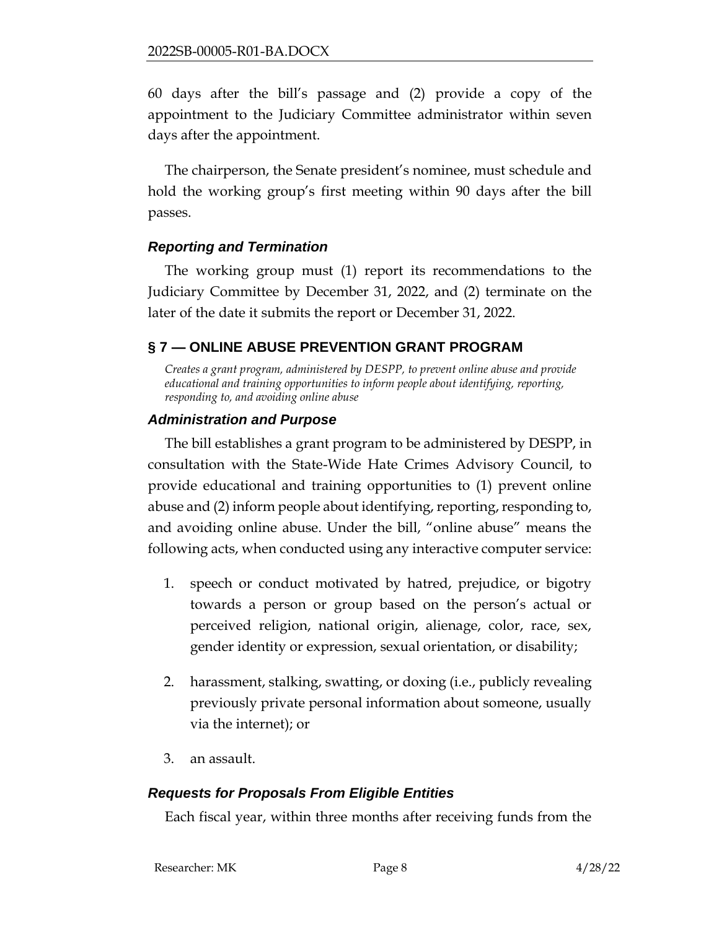60 days after the bill's passage and (2) provide a copy of the appointment to the Judiciary Committee administrator within seven days after the appointment.

The chairperson, the Senate president's nominee, must schedule and hold the working group's first meeting within 90 days after the bill passes.

#### *Reporting and Termination*

The working group must (1) report its recommendations to the Judiciary Committee by December 31, 2022, and (2) terminate on the later of the date it submits the report or December 31, 2022.

## <span id="page-7-0"></span>**§ 7 — ONLINE ABUSE PREVENTION GRANT PROGRAM**

*Creates a grant program, administered by DESPP, to prevent online abuse and provide educational and training opportunities to inform people about identifying, reporting, responding to, and avoiding online abuse*

#### *Administration and Purpose*

The bill establishes a grant program to be administered by DESPP, in consultation with the State-Wide Hate Crimes Advisory Council, to provide educational and training opportunities to (1) prevent online abuse and (2) inform people about identifying, reporting, responding to, and avoiding online abuse. Under the bill, "online abuse" means the following acts, when conducted using any interactive computer service:

- 1. speech or conduct motivated by hatred, prejudice, or bigotry towards a person or group based on the person's actual or perceived religion, national origin, alienage, color, race, sex, gender identity or expression, sexual orientation, or disability;
- 2. harassment, stalking, swatting, or doxing (i.e., publicly revealing previously private personal information about someone, usually via the internet); or
- 3. an assault.

## *Requests for Proposals From Eligible Entities*

Each fiscal year, within three months after receiving funds from the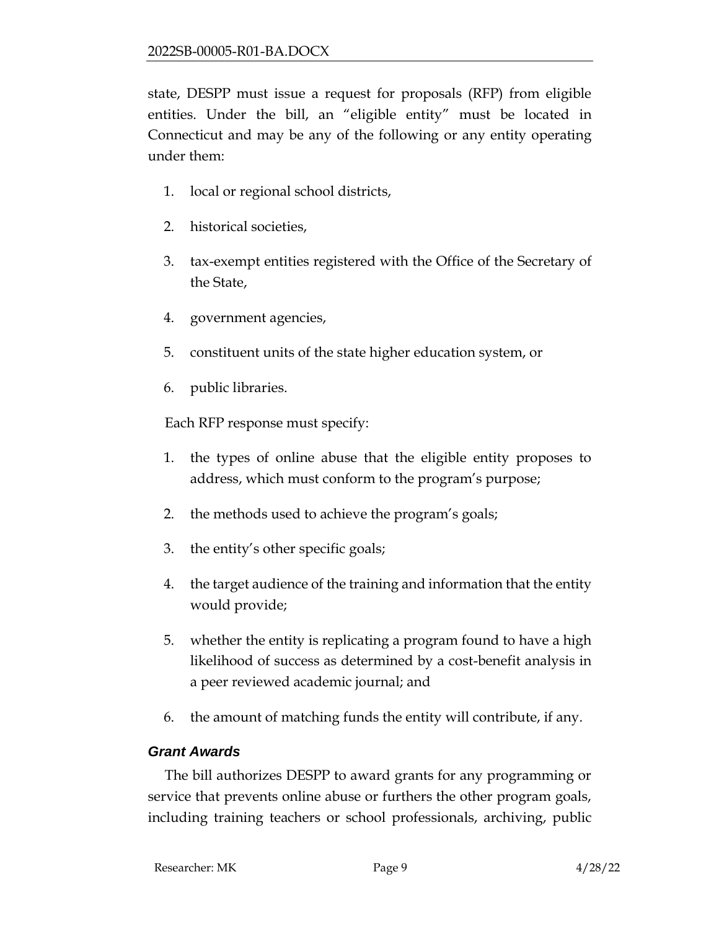state, DESPP must issue a request for proposals (RFP) from eligible entities. Under the bill, an "eligible entity" must be located in Connecticut and may be any of the following or any entity operating under them:

- 1. local or regional school districts,
- 2. historical societies,
- 3. tax-exempt entities registered with the Office of the Secretary of the State,
- 4. government agencies,
- 5. constituent units of the state higher education system, or
- 6. public libraries.

Each RFP response must specify:

- 1. the types of online abuse that the eligible entity proposes to address, which must conform to the program's purpose;
- 2. the methods used to achieve the program's goals;
- 3. the entity's other specific goals;
- 4. the target audience of the training and information that the entity would provide;
- 5. whether the entity is replicating a program found to have a high likelihood of success as determined by a cost-benefit analysis in a peer reviewed academic journal; and
- 6. the amount of matching funds the entity will contribute, if any.

# *Grant Awards*

The bill authorizes DESPP to award grants for any programming or service that prevents online abuse or furthers the other program goals, including training teachers or school professionals, archiving, public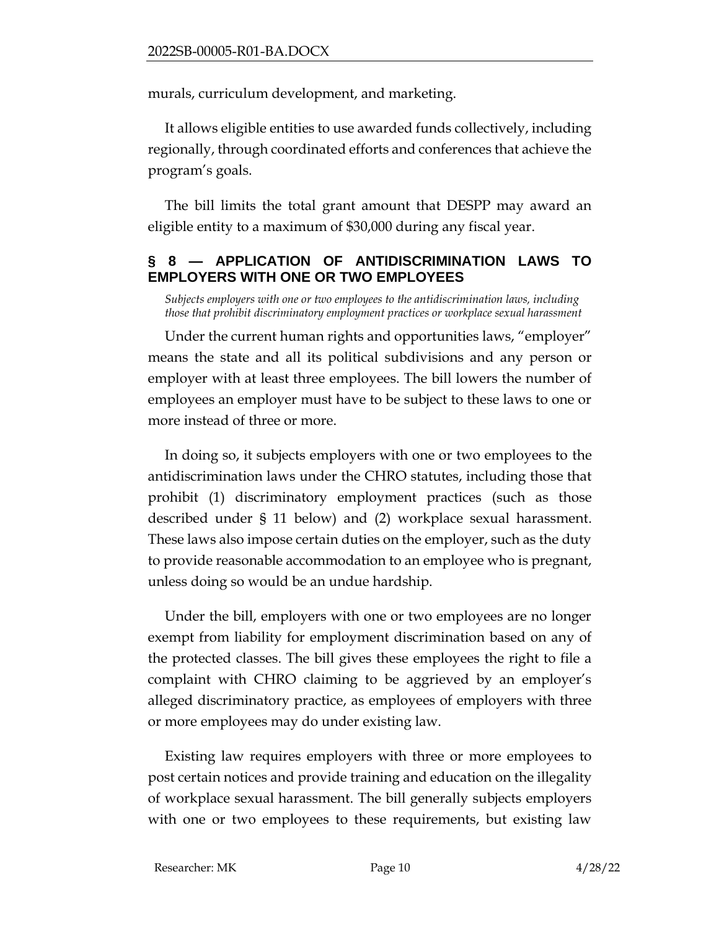murals, curriculum development, and marketing.

It allows eligible entities to use awarded funds collectively, including regionally, through coordinated efforts and conferences that achieve the program's goals.

The bill limits the total grant amount that DESPP may award an eligible entity to a maximum of \$30,000 during any fiscal year.

## <span id="page-9-0"></span>**§ 8 — APPLICATION OF ANTIDISCRIMINATION LAWS TO EMPLOYERS WITH ONE OR TWO EMPLOYEES**

*Subjects employers with one or two employees to the antidiscrimination laws, including those that prohibit discriminatory employment practices or workplace sexual harassment*

Under the current human rights and opportunities laws, "employer" means the state and all its political subdivisions and any person or employer with at least three employees. The bill lowers the number of employees an employer must have to be subject to these laws to one or more instead of three or more.

In doing so, it subjects employers with one or two employees to the antidiscrimination laws under the CHRO statutes, including those that prohibit (1) discriminatory employment practices (such as those described under § 11 below) and (2) workplace sexual harassment. These laws also impose certain duties on the employer, such as the duty to provide reasonable accommodation to an employee who is pregnant, unless doing so would be an undue hardship.

Under the bill, employers with one or two employees are no longer exempt from liability for employment discrimination based on any of the protected classes. The bill gives these employees the right to file a complaint with CHRO claiming to be aggrieved by an employer's alleged discriminatory practice, as employees of employers with three or more employees may do under existing law.

Existing law requires employers with three or more employees to post certain notices and provide training and education on the illegality of workplace sexual harassment. The bill generally subjects employers with one or two employees to these requirements, but existing law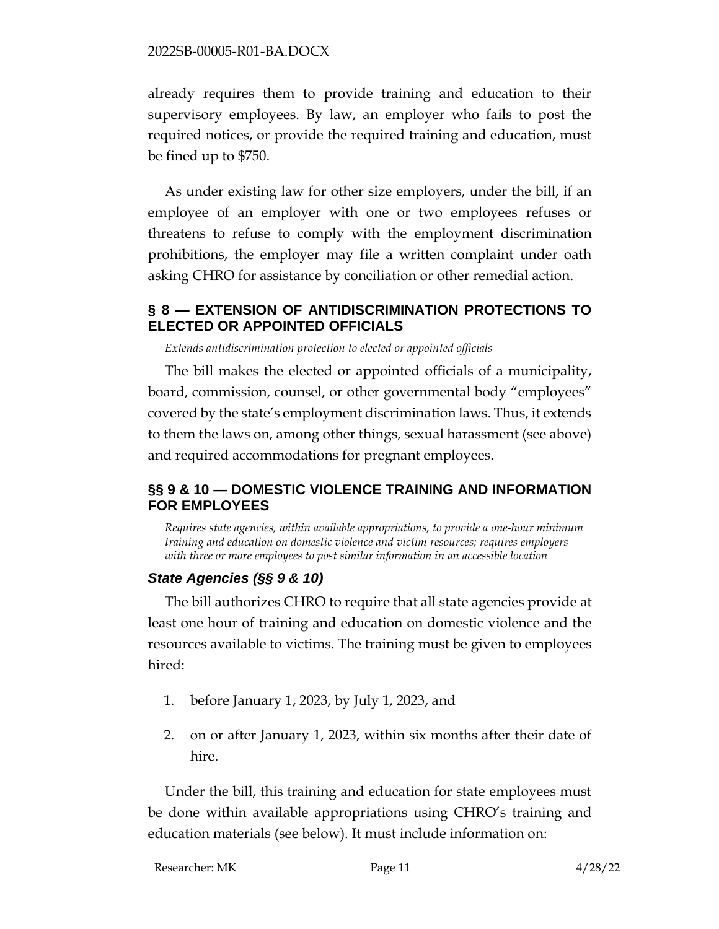already requires them to provide training and education to their supervisory employees. By law, an employer who fails to post the required notices, or provide the required training and education, must be fined up to \$750.

As under existing law for other size employers, under the bill, if an employee of an employer with one or two employees refuses or threatens to refuse to comply with the employment discrimination prohibitions, the employer may file a written complaint under oath asking CHRO for assistance by conciliation or other remedial action.

#### <span id="page-10-0"></span>**§ 8 — EXTENSION OF ANTIDISCRIMINATION PROTECTIONS TO ELECTED OR APPOINTED OFFICIALS**

*Extends antidiscrimination protection to elected or appointed officials*

The bill makes the elected or appointed officials of a municipality, board, commission, counsel, or other governmental body "employees" covered by the state's employment discrimination laws. Thus, it extends to them the laws on, among other things, sexual harassment (see above) and required accommodations for pregnant employees.

## <span id="page-10-1"></span>**§§ 9 & 10 — DOMESTIC VIOLENCE TRAINING AND INFORMATION FOR EMPLOYEES**

*Requires state agencies, within available appropriations, to provide a one-hour minimum training and education on domestic violence and victim resources; requires employers with three or more employees to post similar information in an accessible location* 

# *State Agencies (§§ 9 & 10)*

The bill authorizes CHRO to require that all state agencies provide at least one hour of training and education on domestic violence and the resources available to victims. The training must be given to employees hired:

- 1. before January 1, 2023, by July 1, 2023, and
- 2. on or after January 1, 2023, within six months after their date of hire.

Under the bill, this training and education for state employees must be done within available appropriations using CHRO's training and education materials (see below). It must include information on: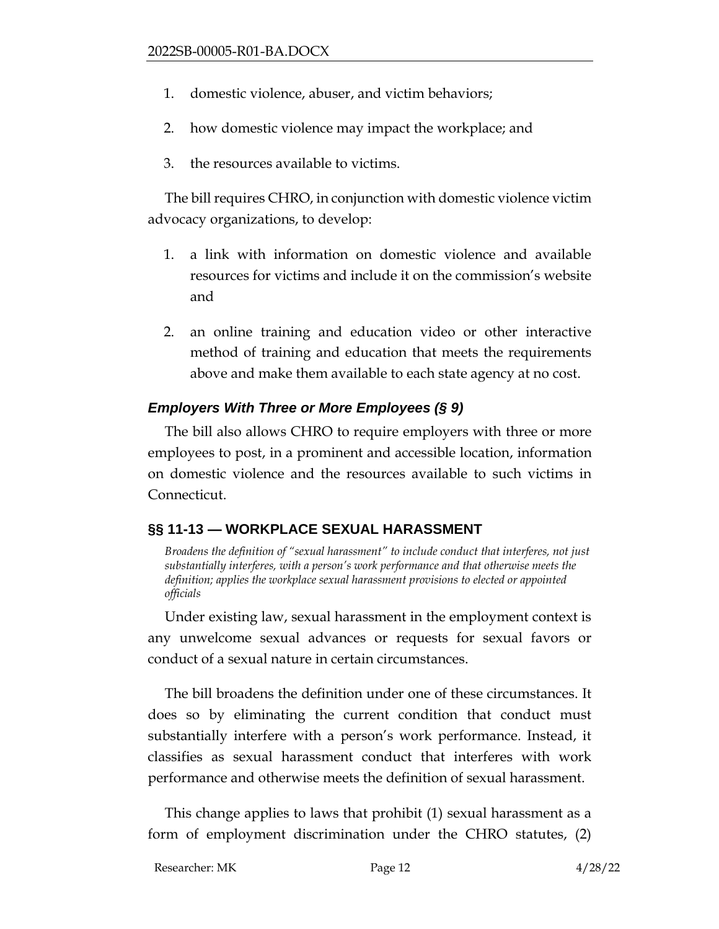- 1. domestic violence, abuser, and victim behaviors;
- 2. how domestic violence may impact the workplace; and
- 3. the resources available to victims.

The bill requires CHRO, in conjunction with domestic violence victim advocacy organizations, to develop:

- 1. a link with information on domestic violence and available resources for victims and include it on the commission's website and
- 2. an online training and education video or other interactive method of training and education that meets the requirements above and make them available to each state agency at no cost.

## *Employers With Three or More Employees (§ 9)*

The bill also allows CHRO to require employers with three or more employees to post, in a prominent and accessible location, information on domestic violence and the resources available to such victims in Connecticut.

# <span id="page-11-0"></span>**§§ 11-13 — WORKPLACE SEXUAL HARASSMENT**

*Broadens the definition of "sexual harassment" to include conduct that interferes, not just substantially interferes, with a person's work performance and that otherwise meets the definition; applies the workplace sexual harassment provisions to elected or appointed officials*

Under existing law, sexual harassment in the employment context is any unwelcome sexual advances or requests for sexual favors or conduct of a sexual nature in certain circumstances.

The bill broadens the definition under one of these circumstances. It does so by eliminating the current condition that conduct must substantially interfere with a person's work performance. Instead, it classifies as sexual harassment conduct that interferes with work performance and otherwise meets the definition of sexual harassment.

This change applies to laws that prohibit (1) sexual harassment as a form of employment discrimination under the CHRO statutes, (2)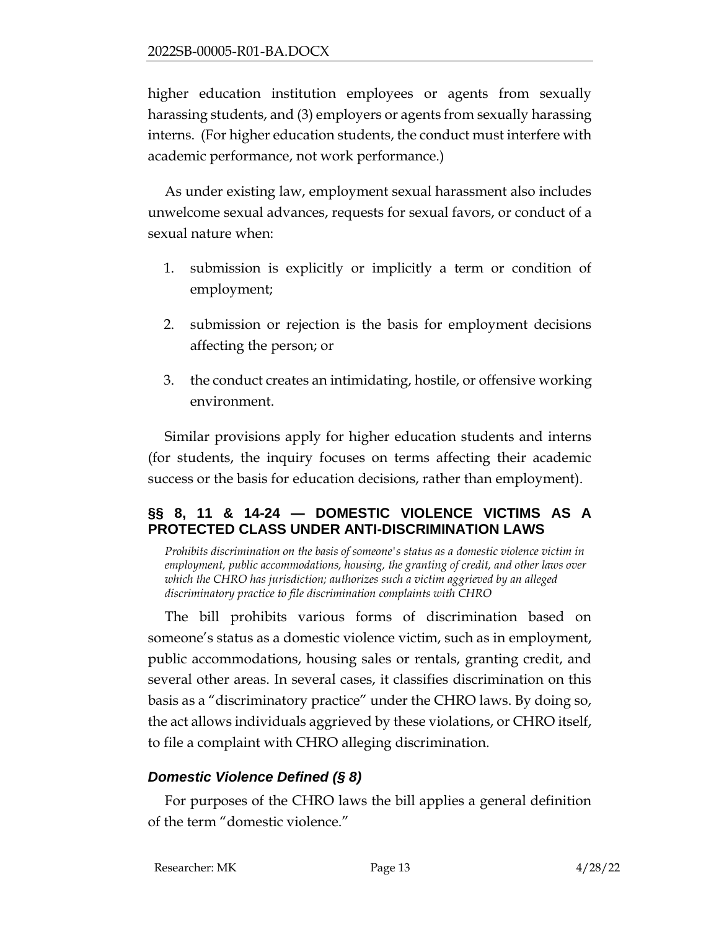higher education institution employees or agents from sexually harassing students, and (3) employers or agents from sexually harassing interns. (For higher education students, the conduct must interfere with academic performance, not work performance.)

As under existing law, employment sexual harassment also includes unwelcome sexual advances, requests for sexual favors, or conduct of a sexual nature when:

- 1. submission is explicitly or implicitly a term or condition of employment;
- 2. submission or rejection is the basis for employment decisions affecting the person; or
- 3. the conduct creates an intimidating, hostile, or offensive working environment.

Similar provisions apply for higher education students and interns (for students, the inquiry focuses on terms affecting their academic success or the basis for education decisions, rather than employment).

## <span id="page-12-0"></span>**§§ 8, 11 & 14-24 — DOMESTIC VIOLENCE VICTIMS AS A PROTECTED CLASS UNDER ANTI-DISCRIMINATION LAWS**

*Prohibits discrimination on the basis of someone's status as a domestic violence victim in employment, public accommodations, housing, the granting of credit, and other laws over which the CHRO has jurisdiction; authorizes such a victim aggrieved by an alleged discriminatory practice to file discrimination complaints with CHRO* 

The bill prohibits various forms of discrimination based on someone's status as a domestic violence victim, such as in employment, public accommodations, housing sales or rentals, granting credit, and several other areas. In several cases, it classifies discrimination on this basis as a "discriminatory practice" under the CHRO laws. By doing so, the act allows individuals aggrieved by these violations, or CHRO itself, to file a complaint with CHRO alleging discrimination.

# *Domestic Violence Defined (§ 8)*

For purposes of the CHRO laws the bill applies a general definition of the term "domestic violence."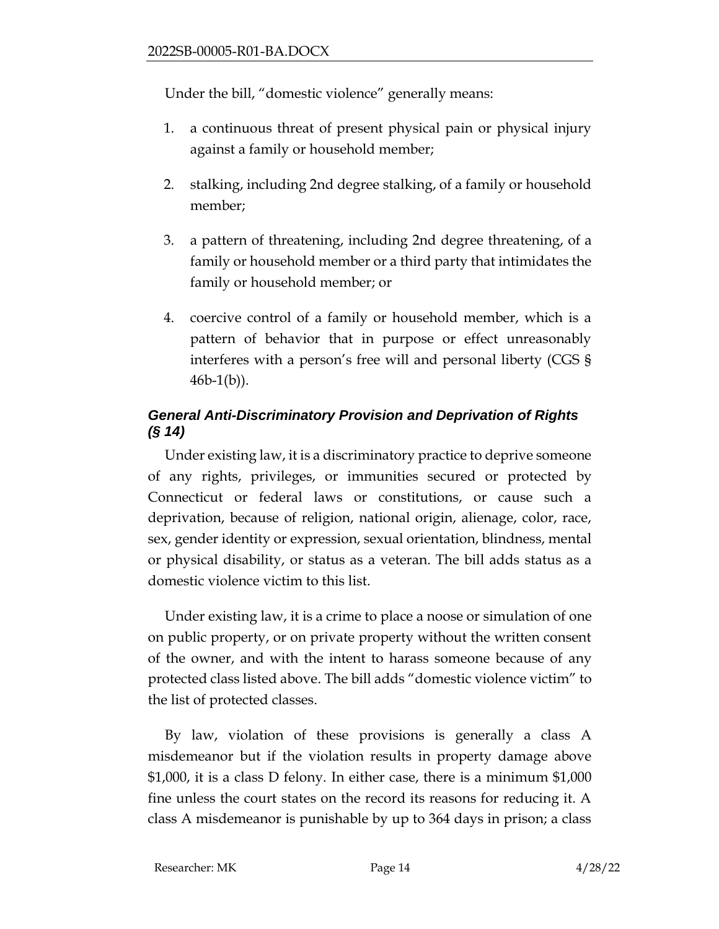Under the bill, "domestic violence" generally means:

- 1. a continuous threat of present physical pain or physical injury against a family or household member;
- 2. stalking, including 2nd degree stalking, of a family or household member;
- 3. a pattern of threatening, including 2nd degree threatening, of a family or household member or a third party that intimidates the family or household member; or
- 4. coercive control of a family or household member, which is a pattern of behavior that in purpose or effect unreasonably interferes with a person's free will and personal liberty (CGS §  $46b-1(b)$ ).

# *General Anti-Discriminatory Provision and Deprivation of Rights (§ 14)*

Under existing law, it is a discriminatory practice to deprive someone of any rights, privileges, or immunities secured or protected by Connecticut or federal laws or constitutions, or cause such a deprivation, because of religion, national origin, alienage, color, race, sex, gender identity or expression, sexual orientation, blindness, mental or physical disability, or status as a veteran. The bill adds status as a domestic violence victim to this list.

Under existing law, it is a crime to place a noose or simulation of one on public property, or on private property without the written consent of the owner, and with the intent to harass someone because of any protected class listed above. The bill adds "domestic violence victim" to the list of protected classes.

By law, violation of these provisions is generally a class A misdemeanor but if the violation results in property damage above \$1,000, it is a class D felony. In either case, there is a minimum \$1,000 fine unless the court states on the record its reasons for reducing it. A class A misdemeanor is punishable by up to 364 days in prison; a class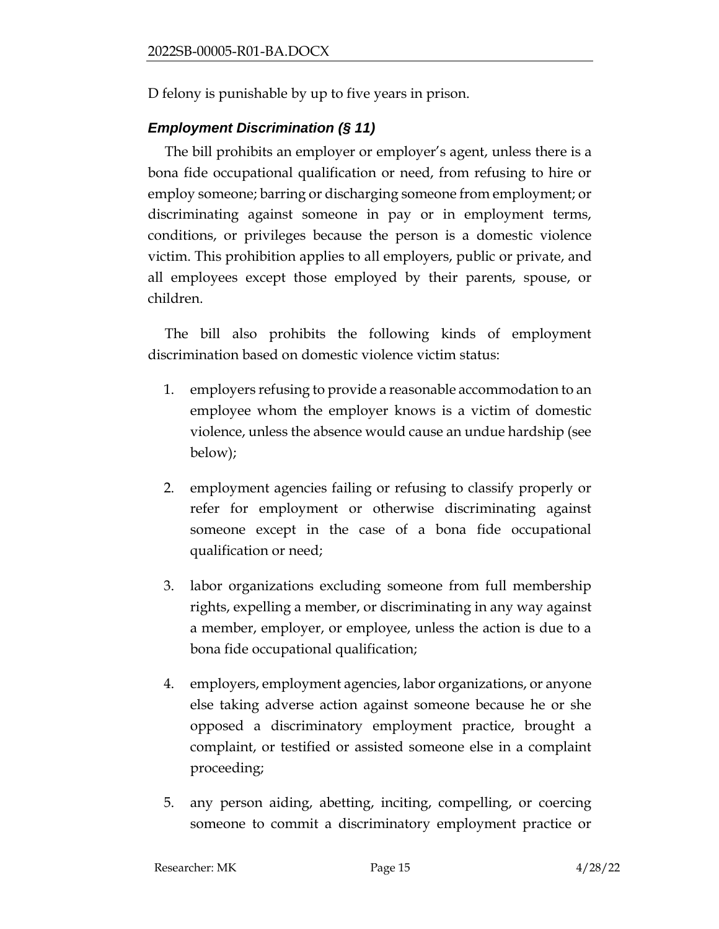D felony is punishable by up to five years in prison.

# *Employment Discrimination (§ 11)*

The bill prohibits an employer or employer's agent, unless there is a bona fide occupational qualification or need, from refusing to hire or employ someone; barring or discharging someone from employment; or discriminating against someone in pay or in employment terms, conditions, or privileges because the person is a domestic violence victim. This prohibition applies to all employers, public or private, and all employees except those employed by their parents, spouse, or children.

The bill also prohibits the following kinds of employment discrimination based on domestic violence victim status:

- 1. employers refusing to provide a reasonable accommodation to an employee whom the employer knows is a victim of domestic violence, unless the absence would cause an undue hardship (see below);
- 2. employment agencies failing or refusing to classify properly or refer for employment or otherwise discriminating against someone except in the case of a bona fide occupational qualification or need;
- 3. labor organizations excluding someone from full membership rights, expelling a member, or discriminating in any way against a member, employer, or employee, unless the action is due to a bona fide occupational qualification;
- 4. employers, employment agencies, labor organizations, or anyone else taking adverse action against someone because he or she opposed a discriminatory employment practice, brought a complaint, or testified or assisted someone else in a complaint proceeding;
- 5. any person aiding, abetting, inciting, compelling, or coercing someone to commit a discriminatory employment practice or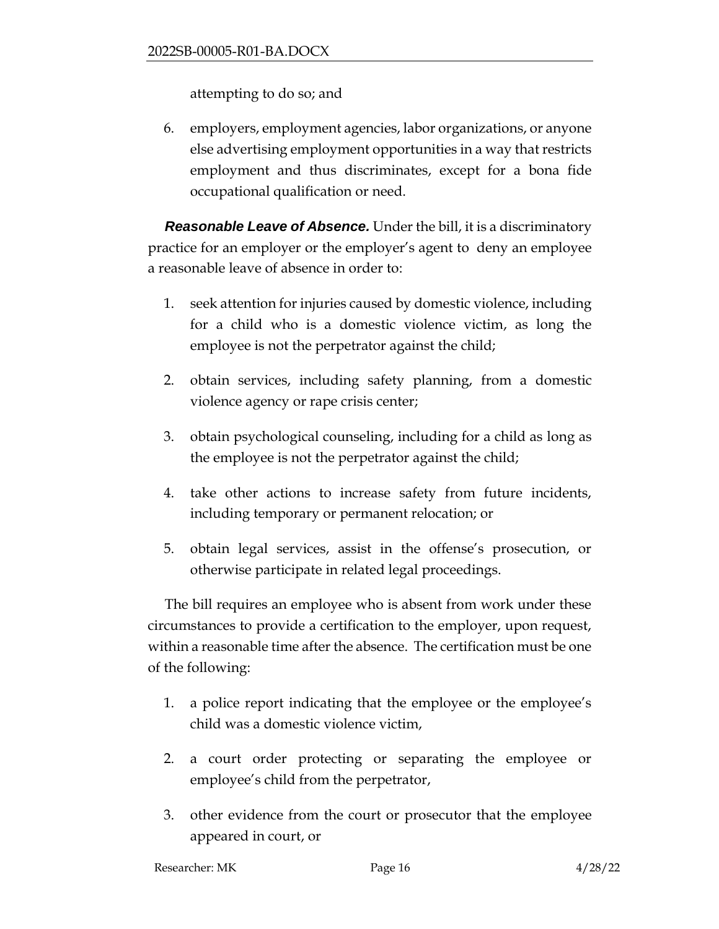attempting to do so; and

6. employers, employment agencies, labor organizations, or anyone else advertising employment opportunities in a way that restricts employment and thus discriminates, except for a bona fide occupational qualification or need.

*Reasonable Leave of Absence.* Under the bill, it is a discriminatory practice for an employer or the employer's agent to deny an employee a reasonable leave of absence in order to:

- 1. seek attention for injuries caused by domestic violence, including for a child who is a domestic violence victim, as long the employee is not the perpetrator against the child;
- 2. obtain services, including safety planning, from a domestic violence agency or rape crisis center;
- 3. obtain psychological counseling, including for a child as long as the employee is not the perpetrator against the child;
- 4. take other actions to increase safety from future incidents, including temporary or permanent relocation; or
- 5. obtain legal services, assist in the offense's prosecution, or otherwise participate in related legal proceedings.

The bill requires an employee who is absent from work under these circumstances to provide a certification to the employer, upon request, within a reasonable time after the absence. The certification must be one of the following:

- 1. a police report indicating that the employee or the employee's child was a domestic violence victim,
- 2. a court order protecting or separating the employee or employee's child from the perpetrator,
- 3. other evidence from the court or prosecutor that the employee appeared in court, or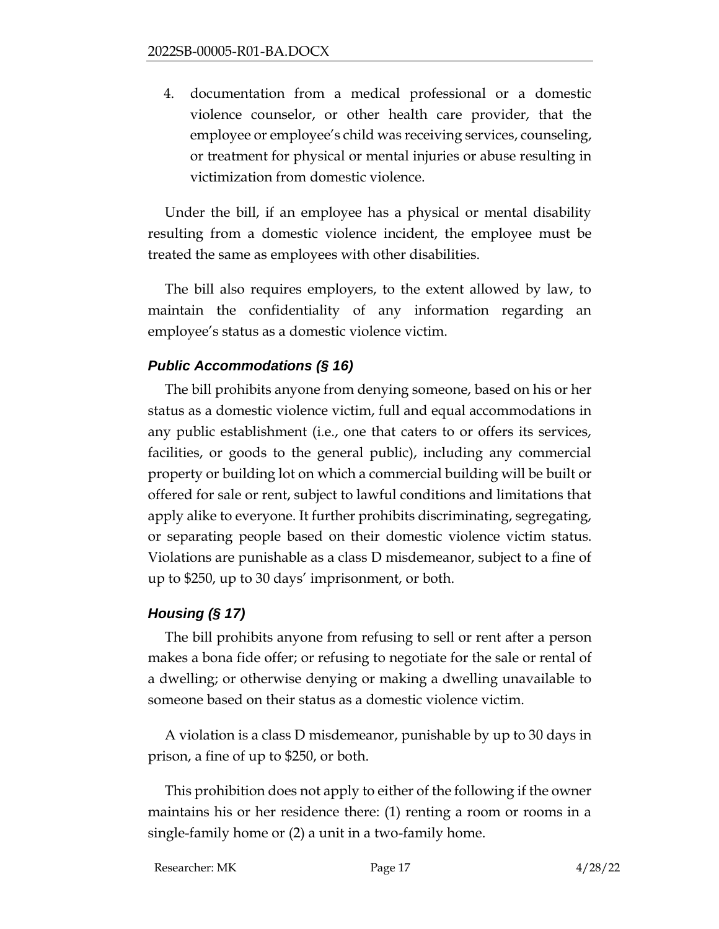4. documentation from a medical professional or a domestic violence counselor, or other health care provider, that the employee or employee's child was receiving services, counseling, or treatment for physical or mental injuries or abuse resulting in victimization from domestic violence.

Under the bill, if an employee has a physical or mental disability resulting from a domestic violence incident, the employee must be treated the same as employees with other disabilities.

The bill also requires employers, to the extent allowed by law, to maintain the confidentiality of any information regarding an employee's status as a domestic violence victim.

## *Public Accommodations (§ 16)*

The bill prohibits anyone from denying someone, based on his or her status as a domestic violence victim, full and equal accommodations in any public establishment (i.e., one that caters to or offers its services, facilities, or goods to the general public), including any commercial property or building lot on which a commercial building will be built or offered for sale or rent, subject to lawful conditions and limitations that apply alike to everyone. It further prohibits discriminating, segregating, or separating people based on their domestic violence victim status. Violations are punishable as a class D misdemeanor, subject to a fine of up to \$250, up to 30 days' imprisonment, or both.

## *Housing (§ 17)*

The bill prohibits anyone from refusing to sell or rent after a person makes a bona fide offer; or refusing to negotiate for the sale or rental of a dwelling; or otherwise denying or making a dwelling unavailable to someone based on their status as a domestic violence victim.

A violation is a class D misdemeanor, punishable by up to 30 days in prison, a fine of up to \$250, or both.

This prohibition does not apply to either of the following if the owner maintains his or her residence there: (1) renting a room or rooms in a single-family home or (2) a unit in a two-family home.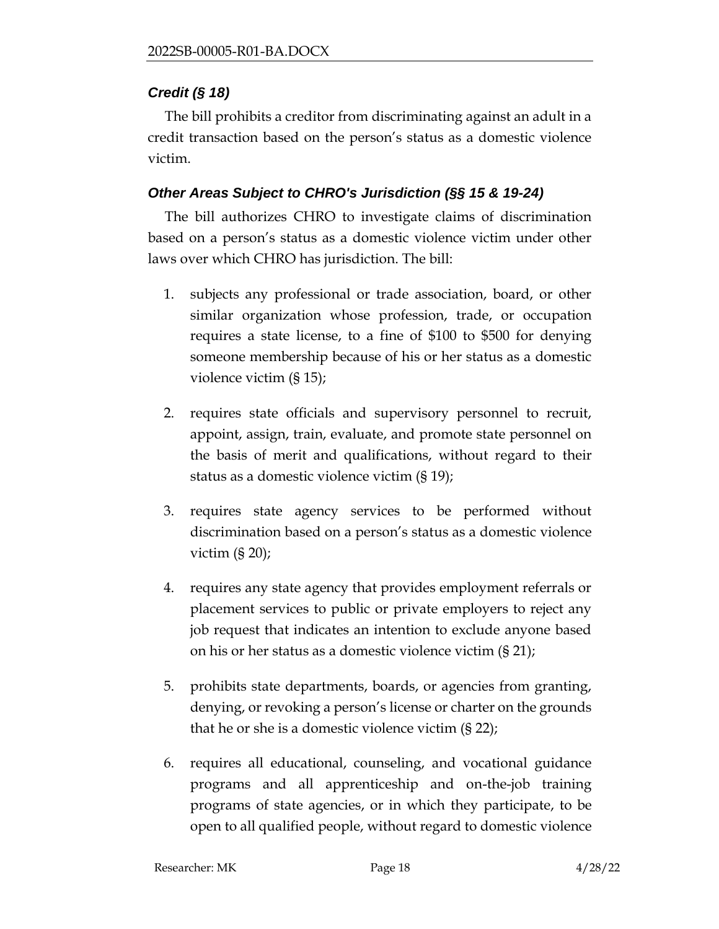## *Credit (§ 18)*

The bill prohibits a creditor from discriminating against an adult in a credit transaction based on the person's status as a domestic violence victim.

## *Other Areas Subject to CHRO's Jurisdiction (§§ 15 & 19-24)*

The bill authorizes CHRO to investigate claims of discrimination based on a person's status as a domestic violence victim under other laws over which CHRO has jurisdiction. The bill:

- 1. subjects any professional or trade association, board, or other similar organization whose profession, trade, or occupation requires a state license, to a fine of \$100 to \$500 for denying someone membership because of his or her status as a domestic violence victim (§ 15);
- 2. requires state officials and supervisory personnel to recruit, appoint, assign, train, evaluate, and promote state personnel on the basis of merit and qualifications, without regard to their status as a domestic violence victim (§ 19);
- 3. requires state agency services to be performed without discrimination based on a person's status as a domestic violence victim  $(S 20)$ ;
- 4. requires any state agency that provides employment referrals or placement services to public or private employers to reject any job request that indicates an intention to exclude anyone based on his or her status as a domestic violence victim (§ 21);
- 5. prohibits state departments, boards, or agencies from granting, denying, or revoking a person's license or charter on the grounds that he or she is a domestic violence victim (§ 22);
- 6. requires all educational, counseling, and vocational guidance programs and all apprenticeship and on-the-job training programs of state agencies, or in which they participate, to be open to all qualified people, without regard to domestic violence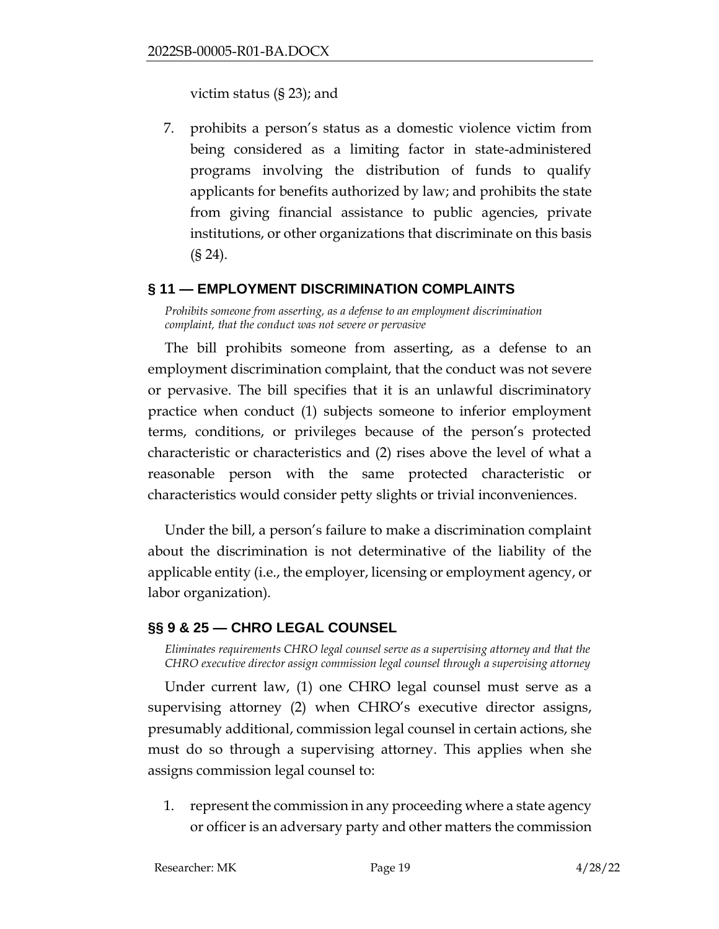victim status (§ 23); and

7. prohibits a person's status as a domestic violence victim from being considered as a limiting factor in state-administered programs involving the distribution of funds to qualify applicants for benefits authorized by law; and prohibits the state from giving financial assistance to public agencies, private institutions, or other organizations that discriminate on this basis (§ 24).

#### <span id="page-18-0"></span>**§ 11 — EMPLOYMENT DISCRIMINATION COMPLAINTS**

*Prohibits someone from asserting, as a defense to an employment discrimination complaint, that the conduct was not severe or pervasive*

The bill prohibits someone from asserting, as a defense to an employment discrimination complaint, that the conduct was not severe or pervasive. The bill specifies that it is an unlawful discriminatory practice when conduct (1) subjects someone to inferior employment terms, conditions, or privileges because of the person's protected characteristic or characteristics and (2) rises above the level of what a reasonable person with the same protected characteristic or characteristics would consider petty slights or trivial inconveniences.

Under the bill, a person's failure to make a discrimination complaint about the discrimination is not determinative of the liability of the applicable entity (i.e., the employer, licensing or employment agency, or labor organization).

## <span id="page-18-1"></span>**§§ 9 & 25 — CHRO LEGAL COUNSEL**

*Eliminates requirements CHRO legal counsel serve as a supervising attorney and that the CHRO executive director assign commission legal counsel through a supervising attorney*

Under current law, (1) one CHRO legal counsel must serve as a supervising attorney (2) when CHRO's executive director assigns, presumably additional, commission legal counsel in certain actions, she must do so through a supervising attorney. This applies when she assigns commission legal counsel to:

1. represent the commission in any proceeding where a state agency or officer is an adversary party and other matters the commission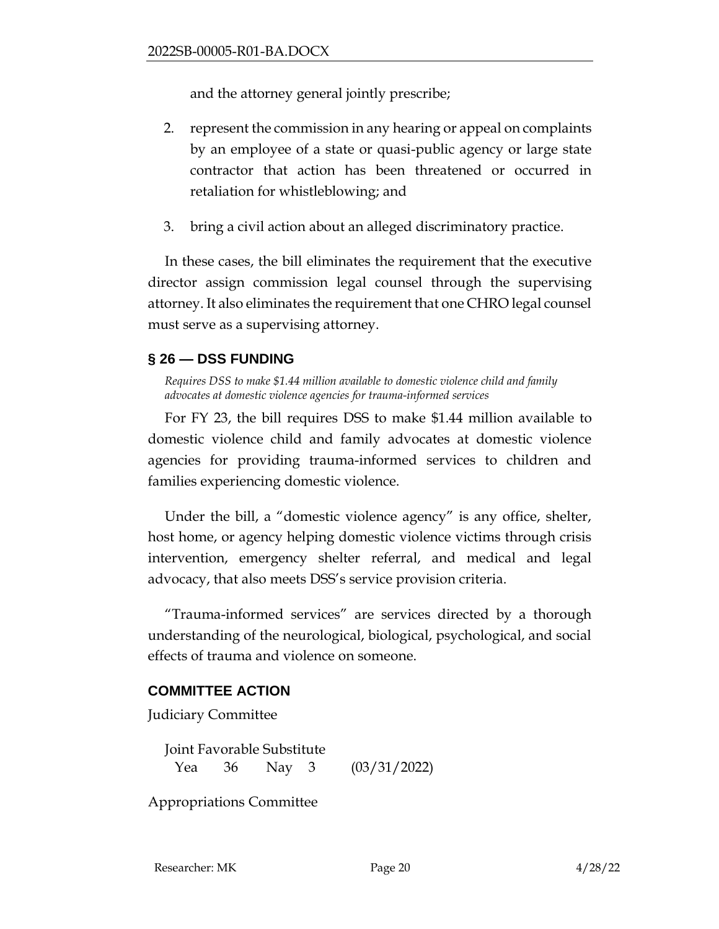and the attorney general jointly prescribe;

- 2. represent the commission in any hearing or appeal on complaints by an employee of a state or quasi-public agency or large state contractor that action has been threatened or occurred in retaliation for whistleblowing; and
- 3. bring a civil action about an alleged discriminatory practice.

In these cases, the bill eliminates the requirement that the executive director assign commission legal counsel through the supervising attorney. It also eliminates the requirement that one CHRO legal counsel must serve as a supervising attorney.

## <span id="page-19-0"></span>**§ 26 — DSS FUNDING**

*Requires DSS to make \$1.44 million available to domestic violence child and family advocates at domestic violence agencies for trauma-informed services*

For FY 23, the bill requires DSS to make \$1.44 million available to domestic violence child and family advocates at domestic violence agencies for providing trauma-informed services to children and families experiencing domestic violence.

Under the bill, a "domestic violence agency" is any office, shelter, host home, or agency helping domestic violence victims through crisis intervention, emergency shelter referral, and medical and legal advocacy, that also meets DSS's service provision criteria.

"Trauma-informed services" are services directed by a thorough understanding of the neurological, biological, psychological, and social effects of trauma and violence on someone.

#### **COMMITTEE ACTION**

Judiciary Committee

Joint Favorable Substitute Yea 36 Nay 3 (03/31/2022)

Appropriations Committee